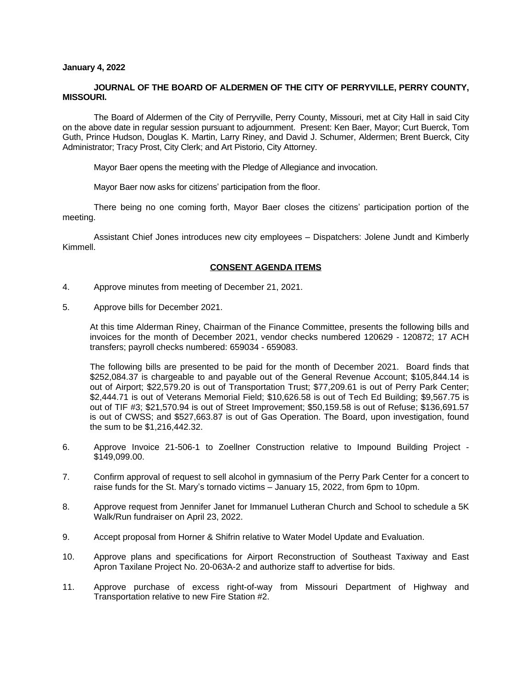### **January 4, 2022**

## **JOURNAL OF THE BOARD OF ALDERMEN OF THE CITY OF PERRYVILLE, PERRY COUNTY, MISSOURI.**

The Board of Aldermen of the City of Perryville, Perry County, Missouri, met at City Hall in said City on the above date in regular session pursuant to adjournment. Present: Ken Baer, Mayor; Curt Buerck, Tom Guth, Prince Hudson, Douglas K. Martin, Larry Riney, and David J. Schumer, Aldermen; Brent Buerck, City Administrator; Tracy Prost, City Clerk; and Art Pistorio, City Attorney.

Mayor Baer opens the meeting with the Pledge of Allegiance and invocation.

Mayor Baer now asks for citizens' participation from the floor.

There being no one coming forth, Mayor Baer closes the citizens' participation portion of the meeting.

Assistant Chief Jones introduces new city employees – Dispatchers: Jolene Jundt and Kimberly Kimmell.

## **CONSENT AGENDA ITEMS**

- 4. Approve minutes from meeting of December 21, 2021.
- 5. Approve bills for December 2021.

At this time Alderman Riney, Chairman of the Finance Committee, presents the following bills and invoices for the month of December 2021, vendor checks numbered 120629 - 120872; 17 ACH transfers; payroll checks numbered: 659034 - 659083.

The following bills are presented to be paid for the month of December 2021. Board finds that \$252,084.37 is chargeable to and payable out of the General Revenue Account; \$105,844.14 is out of Airport; \$22,579.20 is out of Transportation Trust; \$77,209.61 is out of Perry Park Center; \$2,444.71 is out of Veterans Memorial Field; \$10,626.58 is out of Tech Ed Building; \$9,567.75 is out of TIF #3; \$21,570.94 is out of Street Improvement; \$50,159.58 is out of Refuse; \$136,691.57 is out of CWSS; and \$527,663.87 is out of Gas Operation. The Board, upon investigation, found the sum to be \$1,216,442.32.

- 6. Approve Invoice 21-506-1 to Zoellner Construction relative to Impound Building Project \$149,099.00.
- 7. Confirm approval of request to sell alcohol in gymnasium of the Perry Park Center for a concert to raise funds for the St. Mary's tornado victims – January 15, 2022, from 6pm to 10pm.
- 8. Approve request from Jennifer Janet for Immanuel Lutheran Church and School to schedule a 5K Walk/Run fundraiser on April 23, 2022.
- 9. Accept proposal from Horner & Shifrin relative to Water Model Update and Evaluation.
- 10. Approve plans and specifications for Airport Reconstruction of Southeast Taxiway and East Apron Taxilane Project No. 20-063A-2 and authorize staff to advertise for bids.
- 11. Approve purchase of excess right-of-way from Missouri Department of Highway and Transportation relative to new Fire Station #2.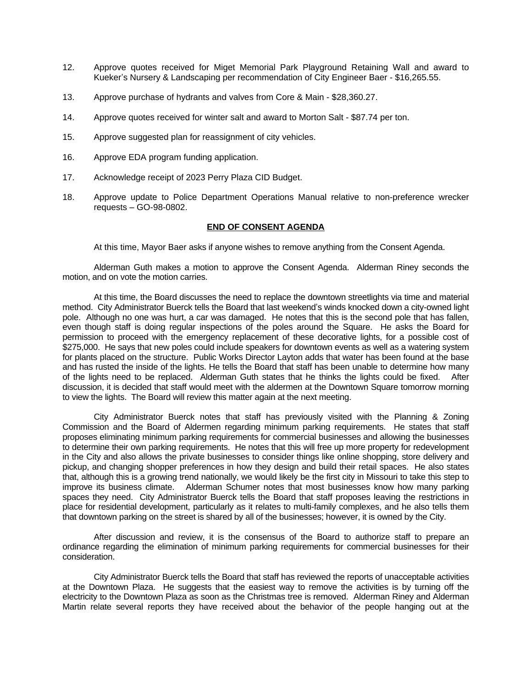- 12. Approve quotes received for Miget Memorial Park Playground Retaining Wall and award to Kueker's Nursery & Landscaping per recommendation of City Engineer Baer - \$16,265.55.
- 13. Approve purchase of hydrants and valves from Core & Main \$28,360.27.
- 14. Approve quotes received for winter salt and award to Morton Salt \$87.74 per ton.
- 15. Approve suggested plan for reassignment of city vehicles.
- 16. Approve EDA program funding application.
- 17. Acknowledge receipt of 2023 Perry Plaza CID Budget.
- 18. Approve update to Police Department Operations Manual relative to non-preference wrecker requests – GO-98-0802.

# **END OF CONSENT AGENDA**

At this time, Mayor Baer asks if anyone wishes to remove anything from the Consent Agenda.

Alderman Guth makes a motion to approve the Consent Agenda. Alderman Riney seconds the motion, and on vote the motion carries.

At this time, the Board discusses the need to replace the downtown streetlights via time and material method. City Administrator Buerck tells the Board that last weekend's winds knocked down a city-owned light pole. Although no one was hurt, a car was damaged. He notes that this is the second pole that has fallen, even though staff is doing regular inspections of the poles around the Square. He asks the Board for permission to proceed with the emergency replacement of these decorative lights, for a possible cost of \$275,000. He says that new poles could include speakers for downtown events as well as a watering system for plants placed on the structure. Public Works Director Layton adds that water has been found at the base and has rusted the inside of the lights. He tells the Board that staff has been unable to determine how many of the lights need to be replaced. Alderman Guth states that he thinks the lights could be fixed. After discussion, it is decided that staff would meet with the aldermen at the Downtown Square tomorrow morning to view the lights. The Board will review this matter again at the next meeting.

City Administrator Buerck notes that staff has previously visited with the Planning & Zoning Commission and the Board of Aldermen regarding minimum parking requirements. He states that staff proposes eliminating minimum parking requirements for commercial businesses and allowing the businesses to determine their own parking requirements. He notes that this will free up more property for redevelopment in the City and also allows the private businesses to consider things like online shopping, store delivery and pickup, and changing shopper preferences in how they design and build their retail spaces. He also states that, although this is a growing trend nationally, we would likely be the first city in Missouri to take this step to improve its business climate. Alderman Schumer notes that most businesses know how many parking spaces they need. City Administrator Buerck tells the Board that staff proposes leaving the restrictions in place for residential development, particularly as it relates to multi-family complexes, and he also tells them that downtown parking on the street is shared by all of the businesses; however, it is owned by the City.

After discussion and review, it is the consensus of the Board to authorize staff to prepare an ordinance regarding the elimination of minimum parking requirements for commercial businesses for their consideration.

City Administrator Buerck tells the Board that staff has reviewed the reports of unacceptable activities at the Downtown Plaza. He suggests that the easiest way to remove the activities is by turning off the electricity to the Downtown Plaza as soon as the Christmas tree is removed. Alderman Riney and Alderman Martin relate several reports they have received about the behavior of the people hanging out at the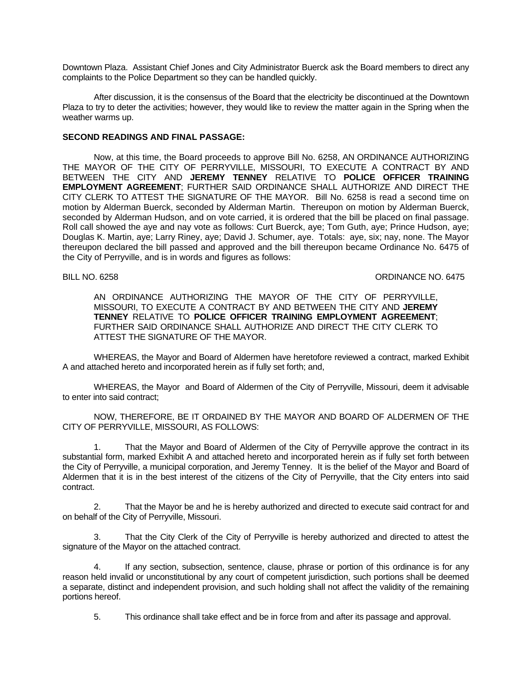Downtown Plaza. Assistant Chief Jones and City Administrator Buerck ask the Board members to direct any complaints to the Police Department so they can be handled quickly.

After discussion, it is the consensus of the Board that the electricity be discontinued at the Downtown Plaza to try to deter the activities; however, they would like to review the matter again in the Spring when the weather warms up.

### **SECOND READINGS AND FINAL PASSAGE:**

Now, at this time, the Board proceeds to approve Bill No. 6258, AN ORDINANCE AUTHORIZING THE MAYOR OF THE CITY OF PERRYVILLE, MISSOURI, TO EXECUTE A CONTRACT BY AND BETWEEN THE CITY AND **JEREMY TENNEY** RELATIVE TO **POLICE OFFICER TRAINING EMPLOYMENT AGREEMENT**; FURTHER SAID ORDINANCE SHALL AUTHORIZE AND DIRECT THE CITY CLERK TO ATTEST THE SIGNATURE OF THE MAYOR. Bill No. 6258 is read a second time on motion by Alderman Buerck, seconded by Alderman Martin. Thereupon on motion by Alderman Buerck, seconded by Alderman Hudson, and on vote carried, it is ordered that the bill be placed on final passage. Roll call showed the aye and nay vote as follows: Curt Buerck, aye; Tom Guth, aye; Prince Hudson, aye; Douglas K. Martin, aye; Larry Riney, aye; David J. Schumer, aye. Totals: aye, six; nay, none. The Mayor thereupon declared the bill passed and approved and the bill thereupon became Ordinance No. 6475 of the City of Perryville, and is in words and figures as follows:

BILL NO. 6258 CREAKING THE SERVICE OF STREET AND THE SERVICE OF STREET AND THE SERVICE OF STREET AND THE SERVICE OF STREET AND THE SERVICE OF STREET AND THE SERVICE OF STREET AND THE SERVICE OF STREET AND THE SERVICE OF ST

AN ORDINANCE AUTHORIZING THE MAYOR OF THE CITY OF PERRYVILLE, MISSOURI, TO EXECUTE A CONTRACT BY AND BETWEEN THE CITY AND **JEREMY TENNEY** RELATIVE TO **POLICE OFFICER TRAINING EMPLOYMENT AGREEMENT**; FURTHER SAID ORDINANCE SHALL AUTHORIZE AND DIRECT THE CITY CLERK TO ATTEST THE SIGNATURE OF THE MAYOR.

WHEREAS, the Mayor and Board of Aldermen have heretofore reviewed a contract, marked Exhibit A and attached hereto and incorporated herein as if fully set forth; and,

WHEREAS, the Mayor and Board of Aldermen of the City of Perryville, Missouri, deem it advisable to enter into said contract;

NOW, THEREFORE, BE IT ORDAINED BY THE MAYOR AND BOARD OF ALDERMEN OF THE CITY OF PERRYVILLE, MISSOURI, AS FOLLOWS:

1. That the Mayor and Board of Aldermen of the City of Perryville approve the contract in its substantial form, marked Exhibit A and attached hereto and incorporated herein as if fully set forth between the City of Perryville, a municipal corporation, and Jeremy Tenney. It is the belief of the Mayor and Board of Aldermen that it is in the best interest of the citizens of the City of Perryville, that the City enters into said contract.

2. That the Mayor be and he is hereby authorized and directed to execute said contract for and on behalf of the City of Perryville, Missouri.

3. That the City Clerk of the City of Perryville is hereby authorized and directed to attest the signature of the Mayor on the attached contract.

4. If any section, subsection, sentence, clause, phrase or portion of this ordinance is for any reason held invalid or unconstitutional by any court of competent jurisdiction, such portions shall be deemed a separate, distinct and independent provision, and such holding shall not affect the validity of the remaining portions hereof.

5. This ordinance shall take effect and be in force from and after its passage and approval.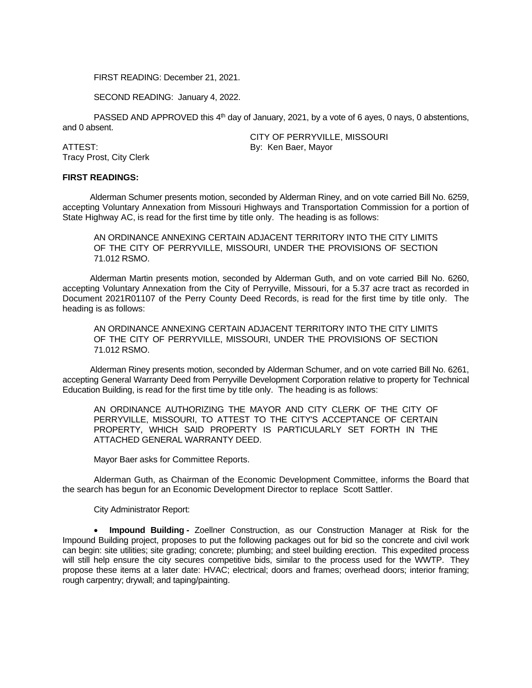FIRST READING: December 21, 2021.

SECOND READING: January 4, 2022.

PASSED AND APPROVED this 4<sup>th</sup> day of January, 2021, by a vote of 6 ayes, 0 nays, 0 abstentions, and 0 absent.

ATTEST: By: Ken Baer, Mayor Tracy Prost, City Clerk

CITY OF PERRYVILLE, MISSOURI

### **FIRST READINGS:**

Alderman Schumer presents motion, seconded by Alderman Riney, and on vote carried Bill No. 6259, accepting Voluntary Annexation from Missouri Highways and Transportation Commission for a portion of State Highway AC, is read for the first time by title only. The heading is as follows:

AN ORDINANCE ANNEXING CERTAIN ADJACENT TERRITORY INTO THE CITY LIMITS OF THE CITY OF PERRYVILLE, MISSOURI, UNDER THE PROVISIONS OF SECTION 71.012 RSMO.

Alderman Martin presents motion, seconded by Alderman Guth, and on vote carried Bill No. 6260, accepting Voluntary Annexation from the City of Perryville, Missouri, for a 5.37 acre tract as recorded in Document 2021R01107 of the Perry County Deed Records, is read for the first time by title only. The heading is as follows:

AN ORDINANCE ANNEXING CERTAIN ADJACENT TERRITORY INTO THE CITY LIMITS OF THE CITY OF PERRYVILLE, MISSOURI, UNDER THE PROVISIONS OF SECTION 71.012 RSMO.

Alderman Riney presents motion, seconded by Alderman Schumer, and on vote carried Bill No. 6261, accepting General Warranty Deed from Perryville Development Corporation relative to property for Technical Education Building, is read for the first time by title only. The heading is as follows:

AN ORDINANCE AUTHORIZING THE MAYOR AND CITY CLERK OF THE CITY OF PERRYVILLE, MISSOURI, TO ATTEST TO THE CITY'S ACCEPTANCE OF CERTAIN PROPERTY, WHICH SAID PROPERTY IS PARTICULARLY SET FORTH IN THE ATTACHED GENERAL WARRANTY DEED.

Mayor Baer asks for Committee Reports.

Alderman Guth, as Chairman of the Economic Development Committee, informs the Board that the search has begun for an Economic Development Director to replace Scott Sattler.

City Administrator Report:

 **Impound Building -** Zoellner Construction, as our Construction Manager at Risk for the Impound Building project, proposes to put the following packages out for bid so the concrete and civil work can begin: site utilities; site grading; concrete; plumbing; and steel building erection. This expedited process will still help ensure the city secures competitive bids, similar to the process used for the WWTP. They propose these items at a later date: HVAC; electrical; doors and frames; overhead doors; interior framing; rough carpentry; drywall; and taping/painting.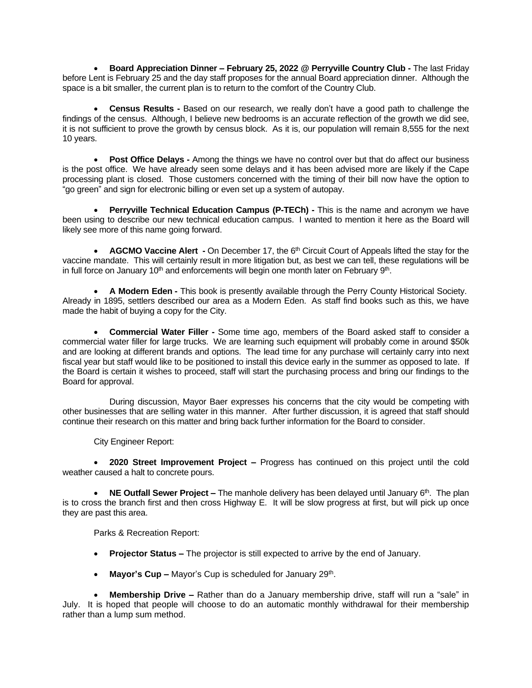**Board Appreciation Dinner – February 25, 2022 @ Perryville Country Club -** The last Friday before Lent is February 25 and the day staff proposes for the annual Board appreciation dinner. Although the space is a bit smaller, the current plan is to return to the comfort of the Country Club.

 **Census Results -** Based on our research, we really don't have a good path to challenge the findings of the census. Although, I believe new bedrooms is an accurate reflection of the growth we did see, it is not sufficient to prove the growth by census block. As it is, our population will remain 8,555 for the next 10 years.

 **Post Office Delays -** Among the things we have no control over but that do affect our business is the post office. We have already seen some delays and it has been advised more are likely if the Cape processing plant is closed. Those customers concerned with the timing of their bill now have the option to "go green" and sign for electronic billing or even set up a system of autopay.

 **Perryville Technical Education Campus (P-TECh) -** This is the name and acronym we have been using to describe our new technical education campus. I wanted to mention it here as the Board will likely see more of this name going forward.

**AGCMO Vaccine Alert** - On December 17, the 6<sup>th</sup> Circuit Court of Appeals lifted the stay for the vaccine mandate. This will certainly result in more litigation but, as best we can tell, these regulations will be in full force on January 10<sup>th</sup> and enforcements will begin one month later on February 9<sup>th</sup>.

 **A Modern Eden -** This book is presently available through the Perry County Historical Society. Already in 1895, settlers described our area as a Modern Eden. As staff find books such as this, we have made the habit of buying a copy for the City.

 **Commercial Water Filler -** Some time ago, members of the Board asked staff to consider a commercial water filler for large trucks. We are learning such equipment will probably come in around \$50k and are looking at different brands and options. The lead time for any purchase will certainly carry into next fiscal year but staff would like to be positioned to install this device early in the summer as opposed to late. If the Board is certain it wishes to proceed, staff will start the purchasing process and bring our findings to the Board for approval.

During discussion, Mayor Baer expresses his concerns that the city would be competing with other businesses that are selling water in this manner. After further discussion, it is agreed that staff should continue their research on this matter and bring back further information for the Board to consider.

City Engineer Report:

 **2020 Street Improvement Project –** Progress has continued on this project until the cold weather caused a halt to concrete pours.

• NE Outfall Sewer Project – The manhole delivery has been delayed until January 6<sup>th</sup>. The plan is to cross the branch first and then cross Highway E. It will be slow progress at first, but will pick up once they are past this area.

Parks & Recreation Report:

- **Projector Status –** The projector is still expected to arrive by the end of January.
- Mayor's Cup Mayor's Cup is scheduled for January 29<sup>th</sup>.

 **Membership Drive –** Rather than do a January membership drive, staff will run a "sale" in July. It is hoped that people will choose to do an automatic monthly withdrawal for their membership rather than a lump sum method.